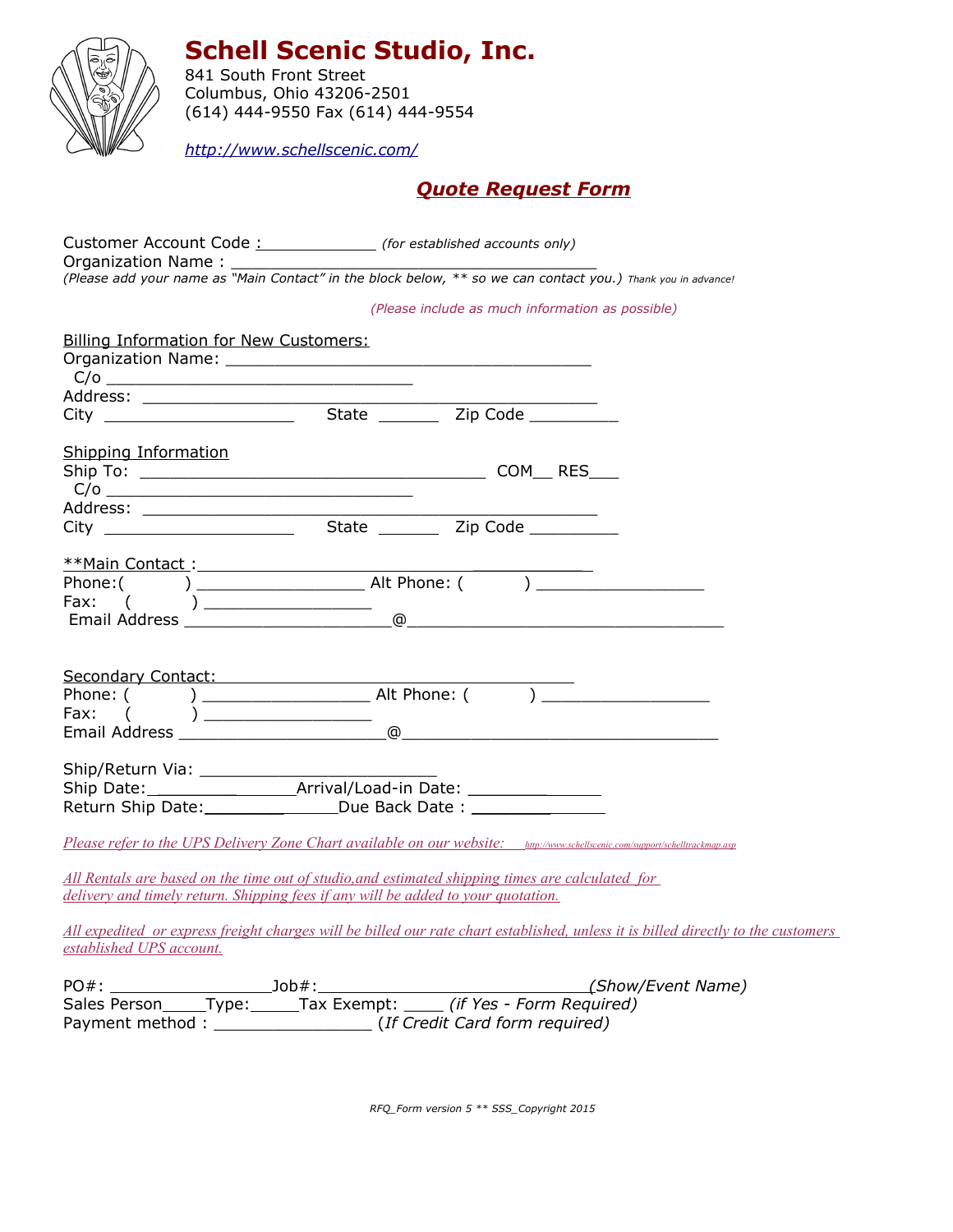

**Schell Scenic Studio, Inc.**

841 South Front Street Columbus, Ohio 43206-2501 (614) 444-9550 Fax (614) 444-9554

*<http://www.schellscenic.com/>*

## *Quote Request Form*

Customer Account Code : *(for established accounts only)* Organization Name: *(Please add your name as "Main Contact" in the block below, \*\* so we can contact you.) Thank you in advance! (Please include as much information as possible)* Billing Information for New Customers: Organization Name: \_\_\_\_\_\_\_\_\_\_\_\_\_\_\_\_\_\_\_\_\_\_\_\_\_\_\_\_\_\_\_\_\_\_\_\_\_  $C/O$   $\overline{\phantom{a}}$ Address: \_\_\_\_\_\_\_\_\_\_\_\_\_\_\_\_\_\_\_\_\_\_\_\_\_\_\_\_\_\_\_\_\_\_\_\_\_\_\_\_\_\_\_\_\_\_ City State Zip Code \_\_\_\_\_\_\_\_\_ Shipping Information Ship To: \_\_\_\_\_\_\_\_\_\_\_\_\_\_\_\_\_\_\_\_\_\_\_\_\_\_\_\_\_\_\_\_\_\_\_ COM\_\_ RES\_\_\_  $C/O$   $\qquad \qquad$ Address: \_\_\_\_\_\_\_\_\_\_\_\_\_\_\_\_\_\_\_\_\_\_\_\_\_\_\_\_\_\_\_\_\_\_\_\_\_\_\_\_\_\_\_\_\_\_  $\hbox{\sf City}$   $\hbox{\sf \underline{\hspace{1.3cm}}\hspace{1.2cm} }$   $\hbox{\sf \underline{\hspace{1.3cm}}\hspace{1.2cm} }$   $\hbox{\sf State}$   $\hbox{\sf \underline{\hspace{1.3cm}}\hspace{1.2cm} }$   $\hbox{\sf \underline{\hspace{1.3cm}}\hspace{1.2cm} }$   $\hbox{\sf \underline{\hspace{1.3cm}}\hspace{1.2cm} }$   $\hbox{\sf \underline{\hspace{1.3cm}}\hspace{1.2cm} }$   $\hbox{\sf \underline{\hspace{1.3cm}}\hspace{1.2cm} }$ \*\*Main Contact : \_\_\_\_\_\_\_\_\_\_\_ Phone:( ) \_\_\_\_\_\_\_\_\_\_\_\_\_\_\_\_\_ Alt Phone: ( ) \_\_\_\_\_\_\_\_\_\_\_\_\_\_\_\_\_ Fax: ( ) \_\_\_\_\_\_\_\_\_\_\_\_\_\_\_\_\_ Email Address \_\_\_\_\_\_\_\_\_\_\_\_\_\_\_\_\_\_\_\_\_@\_\_\_\_\_\_\_\_\_\_\_\_\_\_\_\_\_\_\_\_\_\_\_\_\_\_\_\_\_\_\_\_ Secondary Contact: Phone: ( ) \_\_\_\_\_\_\_\_\_\_\_\_\_\_\_\_\_ Alt Phone: ( ) \_\_\_\_\_\_\_\_\_\_\_\_\_\_\_\_\_ Fax: ( )\_\_\_\_\_\_\_\_\_\_\_\_\_\_\_\_\_\_  $E$ mail Address  $\overbrace{\hspace{2.5cm}}^{2}$ Ship/Return Via: Ship Date: \_\_\_\_\_\_\_\_ Arrival/Load-in Date: \_\_\_\_\_\_\_\_ Return Ship Date: \_\_\_\_\_\_\_\_\_\_\_\_\_\_\_\_Due Back Date : \_\_\_\_\_\_\_\_\_\_\_\_\_\_\_\_\_\_\_\_\_\_\_\_\_\_\_\_\_\_  *Please refer to the UPS Delivery Zone Chart available on our website: <http://www.schellscenic.com/support/schelltrackmap.asp> All Rentals are based on the time out of studio,and estimated shipping times are calculated for delivery and timely return. Shipping fees if any will be added to your quotation. All expedited or express freight charges will be billed our rate chart established, unless it is billed directly to the customers established UPS account.*

| $PO#$ :         |              | $Job#$ : | (Show/Event Name)                           |
|-----------------|--------------|----------|---------------------------------------------|
| Sales Person    | <b>IVDE:</b> |          | Tax Exempt: <i>(if Yes - Form Required)</i> |
| Payment method: |              |          | (If Credit Card form required)              |

*RFQ\_Form version 5 \*\* SSS\_Copyright 2015*